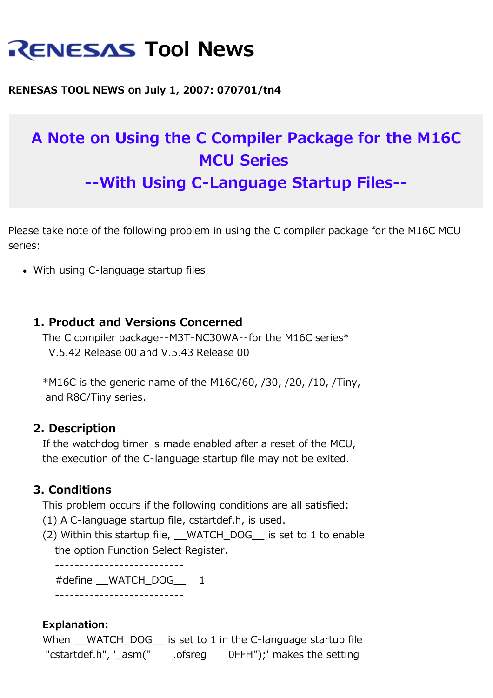# **RENESAS Tool News**

**RENESAS TOOL NEWS on July 1, 2007: 070701/tn4**

## **A Note on Using the C Compiler Package for the M16C MCU Series --With Using C-Language Startup Files--**

Please take note of the following problem in using the C compiler package for the M16C MCU series:

• With using C-language startup files

#### **1. Product and Versions Concerned**

 The C compiler package--M3T-NC30WA--for the M16C series\* V.5.42 Release 00 and V.5.43 Release 00

 $*$ M16C is the generic name of the M16C/60, /30, /20, /10, /Tiny, and R8C/Tiny series.

#### **2. Description**

 If the watchdog timer is made enabled after a reset of the MCU, the execution of the C-language startup file may not be exited.

#### **3. Conditions**

This problem occurs if the following conditions are all satisfied:

- (1) A C-language startup file, cstartdef.h, is used.
- (2) Within this startup file, WATCH DOG is set to 1 to enable the option Function Select Register.

 -------------------------- #define WATCH\_DOG 1 --------------------------

#### **Explanation:**

When  $\blacksquare$  WATCH DOG is set to 1 in the C-language startup file "cstartdef.h", '\_asm(" .ofsreg 0FFH");' makes the setting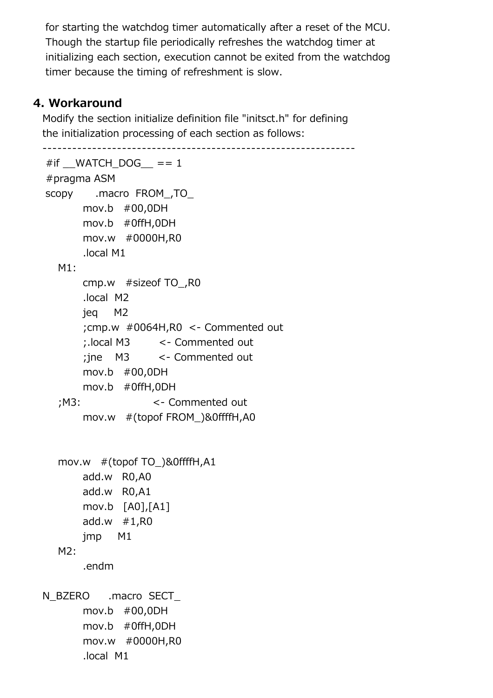for starting the watchdog timer automatically after a reset of the MCU. Though the startup file periodically refreshes the watchdog timer at initializing each section, execution cannot be exited from the watchdog timer because the timing of refreshment is slow.

### **4. Workaround**

 Modify the section initialize definition file "initsct.h" for defining the initialization processing of each section as follows:

```
 ---------------------------------------------------------------
#if MATCH_DOG == 1
 #pragma ASM
 scopy .macro FROM_,TO_
       mov.b #00,0DH
       mov.b #0ffH,0DH
       mov.w #0000H,R0
       .local M1
  M1:
       cmp.w #sizeof TO_,R0
       .local M2
       jeq M2
       ;cmp.w #0064H,R0 <- Commented out
       ;.local M3 <- Commented out
       ;jne M3 <- Commented out
       mov.b #00,0DH
       mov.b #0ffH,0DH
   ;M3: <- Commented out
       mov.w #(topof FROM_)&0ffffH,A0
   mov.w #(topof TO_)&0ffffH,A1 
       add.w R0,A0
       add.w R0,A1
       mov.b [A0],[A1]
       add.w #1,R0
       jmp M1
  M2: .endm
N_BZERO .macro SECT
       mov.b #00,0DH
       mov.b #0ffH,0DH
       mov.w #0000H,R0
       .local M1
```